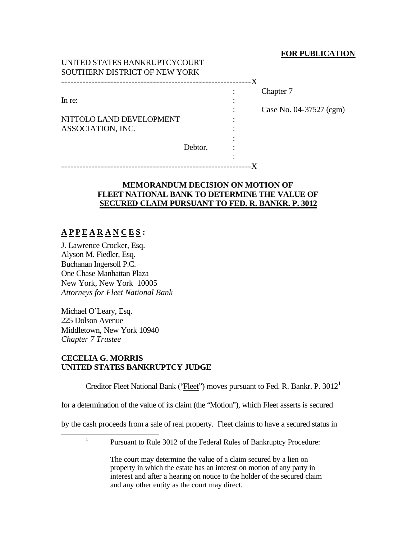## **FOR PUBLICATION**

| UNITED STATES BANKRUPTU TUOURT<br>SOUTHERN DISTRICT OF NEW YORK |         | -X |                                      |
|-----------------------------------------------------------------|---------|----|--------------------------------------|
| In re:<br>NITTOLO LAND DEVELOPMENT<br>ASSOCIATION, INC.         | Debtor. |    | Chapter 7<br>Case No. 04-37527 (cgm) |
|                                                                 |         |    |                                      |

## **MEMORANDUM DECISION ON MOTION OF FLEET NATIONAL BANK TO DETERMINE THE VALUE OF SECURED CLAIM PURSUANT TO FED. R. BANKR. P. 3012**

# **A P P E A R A N C E S :**

J. Lawrence Crocker, Esq. Alyson M. Fiedler, Esq. Buchanan Ingersoll P.C. One Chase Manhattan Plaza New York, New York 10005 *Attorneys for Fleet National Bank*

UNITED STATES BANKRUPTCYCOURT

Michael O'Leary, Esq. 225 Dolson Avenue Middletown, New York 10940 *Chapter 7 Trustee*

## **CECELIA G. MORRIS UNITED STATES BANKRUPTCY JUDGE**

Creditor Fleet National Bank ('*Fleet'*') moves pursuant to Fed. R. Bankr. P. 3012<sup>1</sup>

for a determination of the value of its claim (the "Motion"), which Fleet asserts is secured

by the cash proceeds from a sale of real property. Fleet claims to have a secured status in

1

 $\overline{a}$ 

The court may determine the value of a claim secured by a lien on property in which the estate has an interest on motion of any party in interest and after a hearing on notice to the holder of the secured claim and any other entity as the court may direct.

Pursuant to Rule 3012 of the Federal Rules of Bankruptcy Procedure: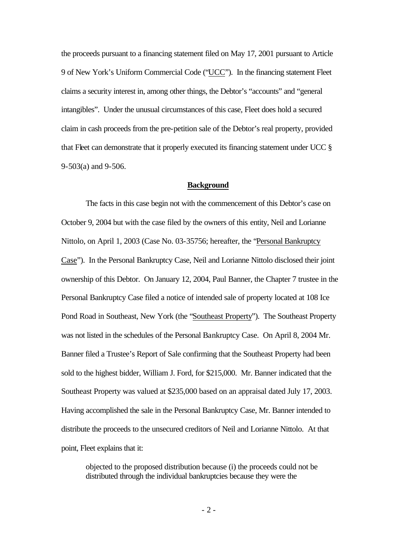the proceeds pursuant to a financing statement filed on May 17, 2001 pursuant to Article 9 of New York's Uniform Commercial Code ("UCC"). In the financing statement Fleet claims a security interest in, among other things, the Debtor's "accounts" and "general intangibles". Under the unusual circumstances of this case, Fleet does hold a secured claim in cash proceeds from the pre-petition sale of the Debtor's real property, provided that Fleet can demonstrate that it properly executed its financing statement under UCC § 9-503(a) and 9-506.

## **Background**

The facts in this case begin not with the commencement of this Debtor's case on October 9, 2004 but with the case filed by the owners of this entity, Neil and Lorianne Nittolo, on April 1, 2003 (Case No. 03-35756; hereafter, the "Personal Bankruptcy Case"). In the Personal Bankruptcy Case, Neil and Lorianne Nittolo disclosed their joint ownership of this Debtor. On January 12, 2004, Paul Banner, the Chapter 7 trustee in the Personal Bankruptcy Case filed a notice of intended sale of property located at 108 Ice Pond Road in Southeast, New York (the "Southeast Property"). The Southeast Property was not listed in the schedules of the Personal Bankruptcy Case. On April 8, 2004 Mr. Banner filed a Trustee's Report of Sale confirming that the Southeast Property had been sold to the highest bidder, William J. Ford, for \$215,000. Mr. Banner indicated that the Southeast Property was valued at \$235,000 based on an appraisal dated July 17, 2003. Having accomplished the sale in the Personal Bankruptcy Case, Mr. Banner intended to distribute the proceeds to the unsecured creditors of Neil and Lorianne Nittolo. At that point, Fleet explains that it:

objected to the proposed distribution because (i) the proceeds could not be distributed through the individual bankruptcies because they were the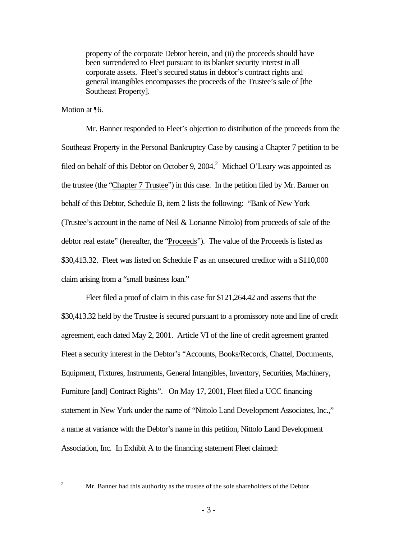property of the corporate Debtor herein, and (ii) the proceeds should have been surrendered to Fleet pursuant to its blanket security interest in all corporate assets. Fleet's secured status in debtor's contract rights and general intangibles encompasses the proceeds of the Trustee's sale of [the Southeast Property].

Motion at ¶6.

Mr. Banner responded to Fleet's objection to distribution of the proceeds from the Southeast Property in the Personal Bankruptcy Case by causing a Chapter 7 petition to be filed on behalf of this Debtor on October 9, 2004.<sup>2</sup> Michael O'Leary was appointed as the trustee (the "Chapter 7 Trustee") in this case. In the petition filed by Mr. Banner on behalf of this Debtor, Schedule B, item 2 lists the following: "Bank of New York (Trustee's account in the name of Neil & Lorianne Nittolo) from proceeds of sale of the debtor real estate" (hereafter, the "Proceeds"). The value of the Proceeds is listed as \$30,413.32. Fleet was listed on Schedule F as an unsecured creditor with a \$110,000 claim arising from a "small business loan."

Fleet filed a proof of claim in this case for \$121,264.42 and asserts that the \$30,413.32 held by the Trustee is secured pursuant to a promissory note and line of credit agreement, each dated May 2, 2001. Article VI of the line of credit agreement granted Fleet a security interest in the Debtor's "Accounts, Books/Records, Chattel, Documents, Equipment, Fixtures, Instruments, General Intangibles, Inventory, Securities, Machinery, Furniture [and] Contract Rights". On May 17, 2001, Fleet filed a UCC financing statement in New York under the name of "Nittolo Land Development Associates, Inc.," a name at variance with the Debtor's name in this petition, Nittolo Land Development Association, Inc. In Exhibit A to the financing statement Fleet claimed:

 $\sqrt{2}$ 

Mr. Banner had this authority as the trustee of the sole shareholders of the Debtor.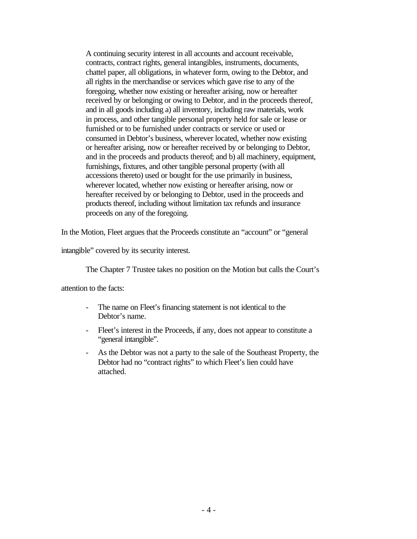A continuing security interest in all accounts and account receivable, contracts, contract rights, general intangibles, instruments, documents, chattel paper, all obligations, in whatever form, owing to the Debtor, and all rights in the merchandise or services which gave rise to any of the foregoing, whether now existing or hereafter arising, now or hereafter received by or belonging or owing to Debtor, and in the proceeds thereof, and in all goods including a) all inventory, including raw materials, work in process, and other tangible personal property held for sale or lease or furnished or to be furnished under contracts or service or used or consumed in Debtor's business, wherever located, whether now existing or hereafter arising, now or hereafter received by or belonging to Debtor, and in the proceeds and products thereof; and b) all machinery, equipment, furnishings, fixtures, and other tangible personal property (with all accessions thereto) used or bought for the use primarily in business, wherever located, whether now existing or hereafter arising, now or hereafter received by or belonging to Debtor, used in the proceeds and products thereof, including without limitation tax refunds and insurance proceeds on any of the foregoing.

In the Motion, Fleet argues that the Proceeds constitute an "account" or "general

intangible" covered by its security interest.

The Chapter 7 Trustee takes no position on the Motion but calls the Court's

attention to the facts:

- The name on Fleet's financing statement is not identical to the Debtor's name.
- Fleet's interest in the Proceeds, if any, does not appear to constitute a "general intangible".
- As the Debtor was not a party to the sale of the Southeast Property, the Debtor had no "contract rights" to which Fleet's lien could have attached.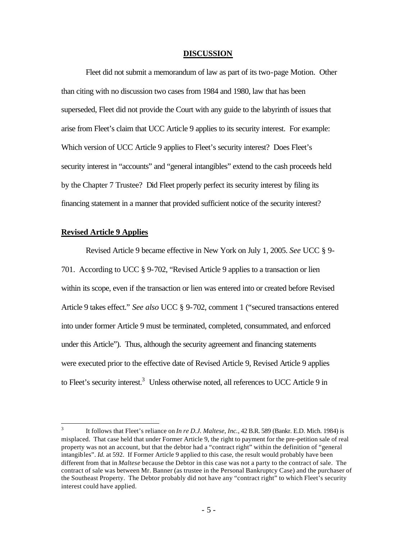#### **DISCUSSION**

Fleet did not submit a memorandum of law as part of its two-page Motion. Other than citing with no discussion two cases from 1984 and 1980, law that has been superseded, Fleet did not provide the Court with any guide to the labyrinth of issues that arise from Fleet's claim that UCC Article 9 applies to its security interest. For example: Which version of UCC Article 9 applies to Fleet's security interest? Does Fleet's security interest in "accounts" and "general intangibles" extend to the cash proceeds held by the Chapter 7 Trustee? Did Fleet properly perfect its security interest by filing its financing statement in a manner that provided sufficient notice of the security interest?

## **Revised Article 9 Applies**

 $\overline{a}$ 

Revised Article 9 became effective in New York on July 1, 2005. *See* UCC § 9- 701. According to UCC § 9-702, "Revised Article 9 applies to a transaction or lien within its scope, even if the transaction or lien was entered into or created before Revised Article 9 takes effect." *See also* UCC § 9-702, comment 1 ("secured transactions entered into under former Article 9 must be terminated, completed, consummated, and enforced under this Article"). Thus, although the security agreement and financing statements were executed prior to the effective date of Revised Article 9, Revised Article 9 applies to Fleet's security interest.<sup>3</sup> Unless otherwise noted, all references to UCC Article 9 in

<sup>3</sup> It follows that Fleet's reliance on *In re D.J. Maltese, Inc.*, 42 B.R. 589 (Bankr. E.D. Mich. 1984) is misplaced. That case held that under Former Article 9, the right to payment for the pre-petition sale of real property was not an account, but that the debtor had a "contract right" within the definition of "general intangibles". *Id.* at 592. If Former Article 9 applied to this case, the result would probably have been different from that in *Maltese* because the Debtor in this case was not a party to the contract of sale. The contract of sale was between Mr. Banner (as trustee in the Personal Bankruptcy Case) and the purchaser of the Southeast Property. The Debtor probably did not have any "contract right" to which Fleet's security interest could have applied.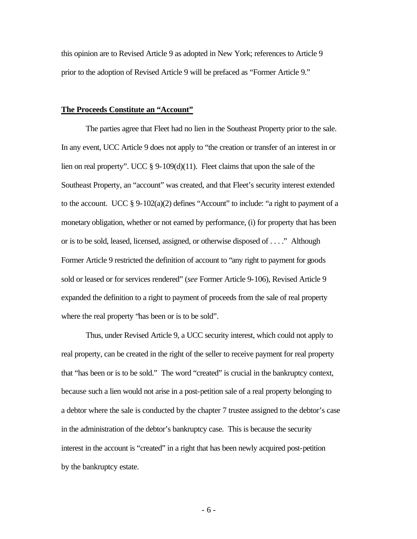this opinion are to Revised Article 9 as adopted in New York; references to Article 9 prior to the adoption of Revised Article 9 will be prefaced as "Former Article 9."

#### **The Proceeds Constitute an "Account"**

The parties agree that Fleet had no lien in the Southeast Property prior to the sale. In any event, UCC Article 9 does not apply to "the creation or transfer of an interest in or lien on real property". UCC § 9-109(d)(11). Fleet claims that upon the sale of the Southeast Property, an "account" was created, and that Fleet's security interest extended to the account. UCC § 9-102(a)(2) defines "Account" to include: "a right to payment of a monetary obligation, whether or not earned by performance, (i) for property that has been or is to be sold, leased, licensed, assigned, or otherwise disposed of . . . ." Although Former Article 9 restricted the definition of account to "any right to payment for goods sold or leased or for services rendered" (*see* Former Article 9-106), Revised Article 9 expanded the definition to a right to payment of proceeds from the sale of real property where the real property "has been or is to be sold".

Thus, under Revised Article 9, a UCC security interest, which could not apply to real property, can be created in the right of the seller to receive payment for real property that "has been or is to be sold." The word "created" is crucial in the bankruptcy context, because such a lien would not arise in a post-petition sale of a real property belonging to a debtor where the sale is conducted by the chapter 7 trustee assigned to the debtor's case in the administration of the debtor's bankruptcy case. This is because the security interest in the account is "created" in a right that has been newly acquired post-petition by the bankruptcy estate.

- 6 -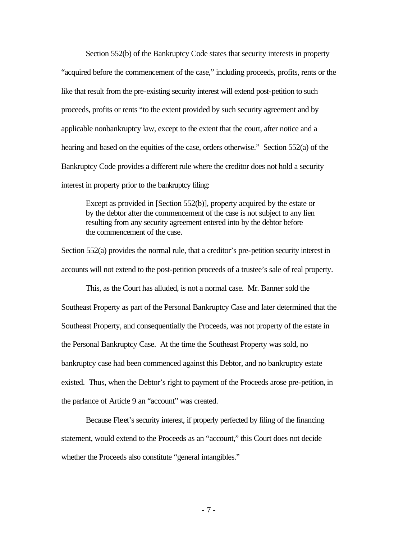Section 552(b) of the Bankruptcy Code states that security interests in property "acquired before the commencement of the case," including proceeds, profits, rents or the like that result from the pre-existing security interest will extend post-petition to such proceeds, profits or rents "to the extent provided by such security agreement and by applicable nonbankruptcy law, except to the extent that the court, after notice and a hearing and based on the equities of the case, orders otherwise." Section 552(a) of the Bankruptcy Code provides a different rule where the creditor does not hold a security interest in property prior to the bankruptcy filing:

Except as provided in [Section 552(b)], property acquired by the estate or by the debtor after the commencement of the case is not subject to any lien resulting from any security agreement entered into by the debtor before the commencement of the case.

Section 552(a) provides the normal rule, that a creditor's pre-petition security interest in accounts will not extend to the post-petition proceeds of a trustee's sale of real property.

This, as the Court has alluded, is not a normal case. Mr. Banner sold the Southeast Property as part of the Personal Bankruptcy Case and later determined that the Southeast Property, and consequentially the Proceeds, was not property of the estate in the Personal Bankruptcy Case. At the time the Southeast Property was sold, no bankruptcy case had been commenced against this Debtor, and no bankruptcy estate existed. Thus, when the Debtor's right to payment of the Proceeds arose pre-petition, in the parlance of Article 9 an "account" was created.

Because Fleet's security interest, if properly perfected by filing of the financing statement, would extend to the Proceeds as an "account," this Court does not decide whether the Proceeds also constitute "general intangibles."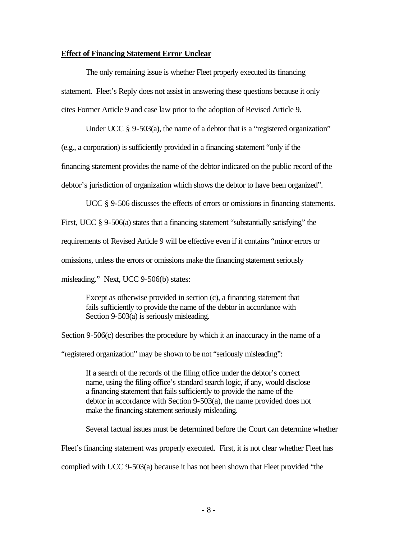### **Effect of Financing Statement Error Unclear**

The only remaining issue is whether Fleet properly executed its financing statement. Fleet's Reply does not assist in answering these questions because it only cites Former Article 9 and case law prior to the adoption of Revised Article 9.

Under UCC § 9-503(a), the name of a debtor that is a "registered organization"

(e.g., a corporation) is sufficiently provided in a financing statement "only if the

financing statement provides the name of the debtor indicated on the public record of the

debtor's jurisdiction of organization which shows the debtor to have been organized".

UCC § 9-506 discusses the effects of errors or omissions in financing statements. First, UCC § 9-506(a) states that a financing statement "substantially satisfying" the requirements of Revised Article 9 will be effective even if it contains "minor errors or omissions, unless the errors or omissions make the financing statement seriously misleading." Next, UCC 9-506(b) states:

Except as otherwise provided in section (c), a financing statement that fails sufficiently to provide the name of the debtor in accordance with Section 9-503(a) is seriously misleading.

Section 9-506(c) describes the procedure by which it an inaccuracy in the name of a "registered organization" may be shown to be not "seriously misleading":

If a search of the records of the filing office under the debtor's correct name, using the filing office's standard search logic, if any, would disclose a financing statement that fails sufficiently to provide the name of the debtor in accordance with Section 9-503(a), the name provided does not make the financing statement seriously misleading.

Several factual issues must be determined before the Court can determine whether

Fleet's financing statement was properly executed. First, it is not clear whether Fleet has

complied with UCC 9-503(a) because it has not been shown that Fleet provided "the